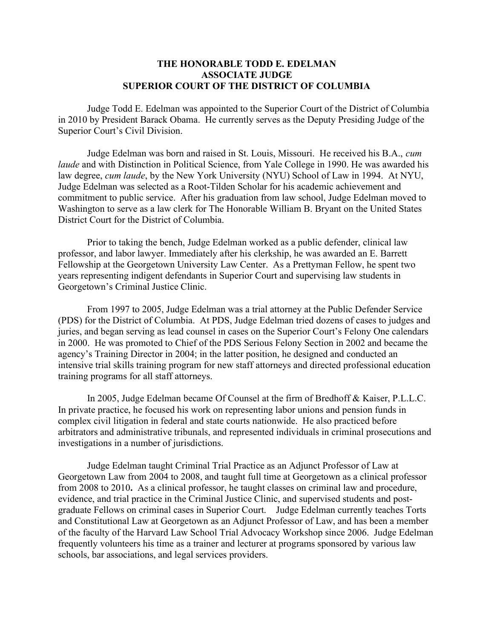## THE HONORABLE TODD E. EDELMAN ASSOCIATE JUDGE SUPERIOR COURT OF THE DISTRICT OF COLUMBIA

 Judge Todd E. Edelman was appointed to the Superior Court of the District of Columbia in 2010 by President Barack Obama. He currently serves as the Deputy Presiding Judge of the Superior Court's Civil Division.

Judge Edelman was born and raised in St. Louis, Missouri. He received his B.A., cum laude and with Distinction in Political Science, from Yale College in 1990. He was awarded his law degree, cum laude, by the New York University (NYU) School of Law in 1994. At NYU, Judge Edelman was selected as a Root-Tilden Scholar for his academic achievement and commitment to public service. After his graduation from law school, Judge Edelman moved to Washington to serve as a law clerk for The Honorable William B. Bryant on the United States District Court for the District of Columbia.

 Prior to taking the bench, Judge Edelman worked as a public defender, clinical law professor, and labor lawyer. Immediately after his clerkship, he was awarded an E. Barrett Fellowship at the Georgetown University Law Center. As a Prettyman Fellow, he spent two years representing indigent defendants in Superior Court and supervising law students in Georgetown's Criminal Justice Clinic.

 From 1997 to 2005, Judge Edelman was a trial attorney at the Public Defender Service (PDS) for the District of Columbia. At PDS, Judge Edelman tried dozens of cases to judges and juries, and began serving as lead counsel in cases on the Superior Court's Felony One calendars in 2000. He was promoted to Chief of the PDS Serious Felony Section in 2002 and became the agency's Training Director in 2004; in the latter position, he designed and conducted an intensive trial skills training program for new staff attorneys and directed professional education training programs for all staff attorneys.

 In 2005, Judge Edelman became Of Counsel at the firm of Bredhoff & Kaiser, P.L.L.C. In private practice, he focused his work on representing labor unions and pension funds in complex civil litigation in federal and state courts nationwide. He also practiced before arbitrators and administrative tribunals, and represented individuals in criminal prosecutions and investigations in a number of jurisdictions.

 Judge Edelman taught Criminal Trial Practice as an Adjunct Professor of Law at Georgetown Law from 2004 to 2008, and taught full time at Georgetown as a clinical professor from 2008 to 2010. As a clinical professor, he taught classes on criminal law and procedure, evidence, and trial practice in the Criminal Justice Clinic, and supervised students and postgraduate Fellows on criminal cases in Superior Court. Judge Edelman currently teaches Torts and Constitutional Law at Georgetown as an Adjunct Professor of Law, and has been a member of the faculty of the Harvard Law School Trial Advocacy Workshop since 2006. Judge Edelman frequently volunteers his time as a trainer and lecturer at programs sponsored by various law schools, bar associations, and legal services providers.